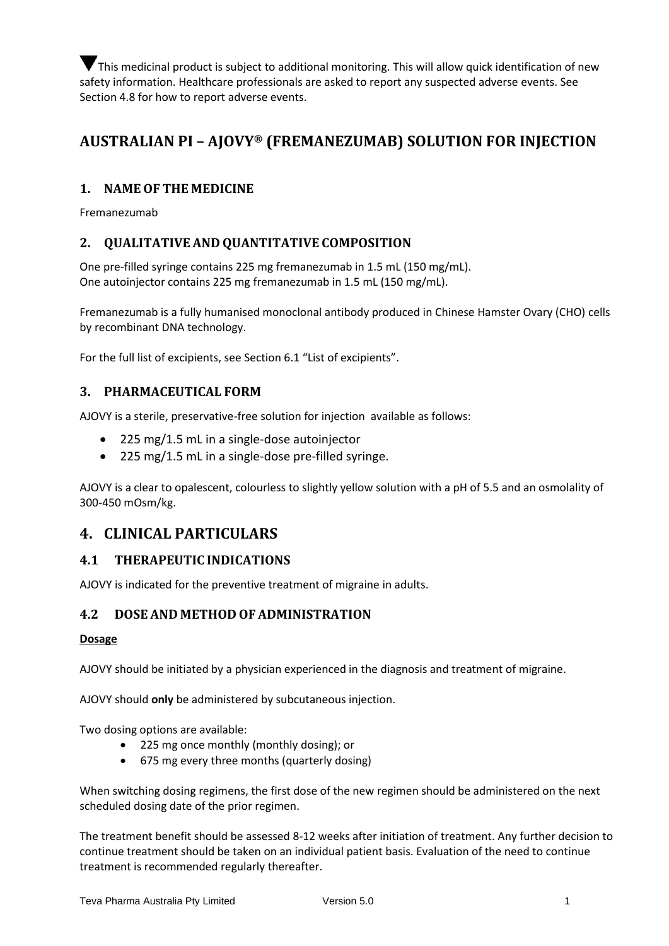This medicinal product is subject to additional monitoring. This will allow quick identification of new safety information. Healthcare professionals are asked to report any suspected adverse events. See Section 4.8 for how to report adverse events.

# **AUSTRALIAN PI – AJOVY® (FREMANEZUMAB) SOLUTION FOR INJECTION**

# **1. NAMEOF THE MEDICINE**

Fremanezumab

# **2. QUALITATIVE AND QUANTITATIVE COMPOSITION**

One pre-filled syringe contains 225 mg fremanezumab in 1.5 mL (150 mg/mL). One autoinjector contains 225 mg fremanezumab in 1.5 mL (150 mg/mL).

Fremanezumab is a fully humanised monoclonal antibody produced in Chinese Hamster Ovary (CHO) cells by recombinant DNA technology.

For the full list of excipients, see Section 6.1 "List of excipients".

# **3. PHARMACEUTICAL FORM**

AJOVY is a sterile, preservative-free solution for injection available as follows:

- 225 mg/1.5 mL in a single-dose autoinjector
- 225 mg/1.5 mL in a single-dose pre-filled syringe.

AJOVY is a clear to opalescent, colourless to slightly yellow solution with a pH of 5.5 and an osmolality of 300-450 mOsm/kg.

# **4. CLINICAL PARTICULARS**

# **4.1 THERAPEUTIC INDICATIONS**

AJOVY is indicated for the preventive treatment of migraine in adults.

# **4.2 DOSE AND METHOD OF ADMINISTRATION**

### **Dosage**

AJOVY should be initiated by a physician experienced in the diagnosis and treatment of migraine.

AJOVY should **only** be administered by subcutaneous injection.

Two dosing options are available:

- 225 mg once monthly (monthly dosing); or
- 675 mg every three months (quarterly dosing)

When switching dosing regimens, the first dose of the new regimen should be administered on the next scheduled dosing date of the prior regimen.

The treatment benefit should be assessed 8-12 weeks after initiation of treatment. Any further decision to continue treatment should be taken on an individual patient basis. Evaluation of the need to continue treatment is recommended regularly thereafter.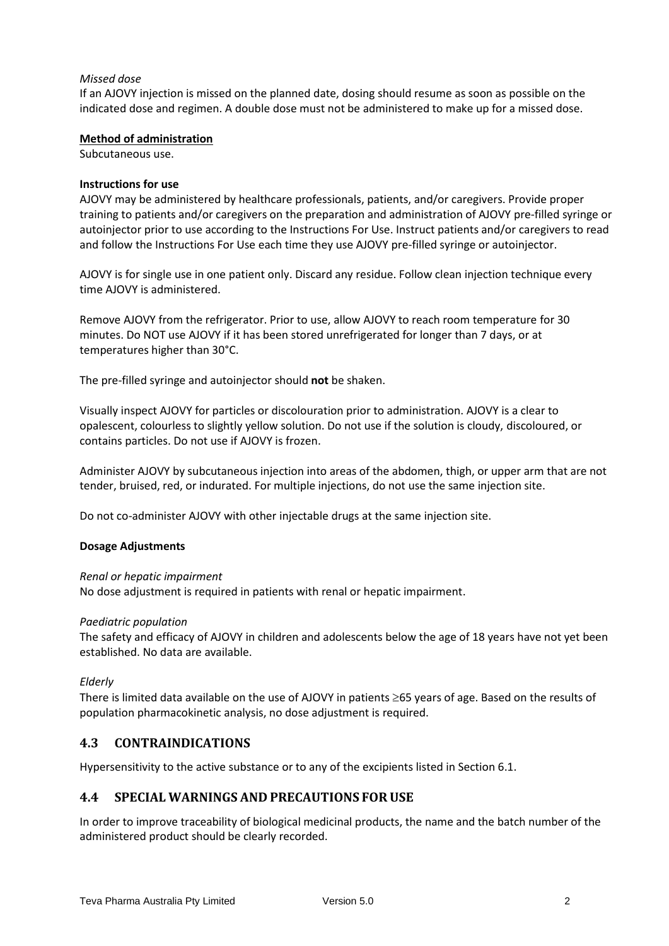## *Missed dose*

If an AJOVY injection is missed on the planned date, dosing should resume as soon as possible on the indicated dose and regimen. A double dose must not be administered to make up for a missed dose.

### **Method of administration**

Subcutaneous use.

#### **Instructions for use**

AJOVY may be administered by healthcare professionals, patients, and/or caregivers. Provide proper training to patients and/or caregivers on the preparation and administration of AJOVY pre-filled syringe or autoinjector prior to use according to the Instructions For Use. Instruct patients and/or caregivers to read and follow the Instructions For Use each time they use AJOVY pre-filled syringe or autoinjector.

AJOVY is for single use in one patient only. Discard any residue. Follow clean injection technique every time AJOVY is administered.

Remove AJOVY from the refrigerator. Prior to use, allow AJOVY to reach room temperature for 30 minutes. Do NOT use AJOVY if it has been stored unrefrigerated for longer than 7 days, or at temperatures higher than 30°C.

The pre-filled syringe and autoinjector should **not** be shaken.

Visually inspect AJOVY for particles or discolouration prior to administration. AJOVY is a clear to opalescent, colourless to slightly yellow solution. Do not use if the solution is cloudy, discoloured, or contains particles. Do not use if AJOVY is frozen.

Administer AJOVY by subcutaneous injection into areas of the abdomen, thigh, or upper arm that are not tender, bruised, red, or indurated. For multiple injections, do not use the same injection site.

Do not co-administer AJOVY with other injectable drugs at the same injection site.

### **Dosage Adjustments**

#### *Renal or hepatic impairment*

No dose adjustment is required in patients with renal or hepatic impairment.

### *Paediatric population*

The safety and efficacy of AJOVY in children and adolescents below the age of 18 years have not yet been established. No data are available.

### *Elderly*

There is limited data available on the use of AJOVY in patients  $\geq$  65 years of age. Based on the results of population pharmacokinetic analysis, no dose adjustment is required.

## **4.3 CONTRAINDICATIONS**

Hypersensitivity to the active substance or to any of the excipients listed in Section 6.1.

### **4.4 SPECIAL WARNINGS AND PRECAUTIONS FORUSE**

In order to improve traceability of biological medicinal products, the name and the batch number of the administered product should be clearly recorded.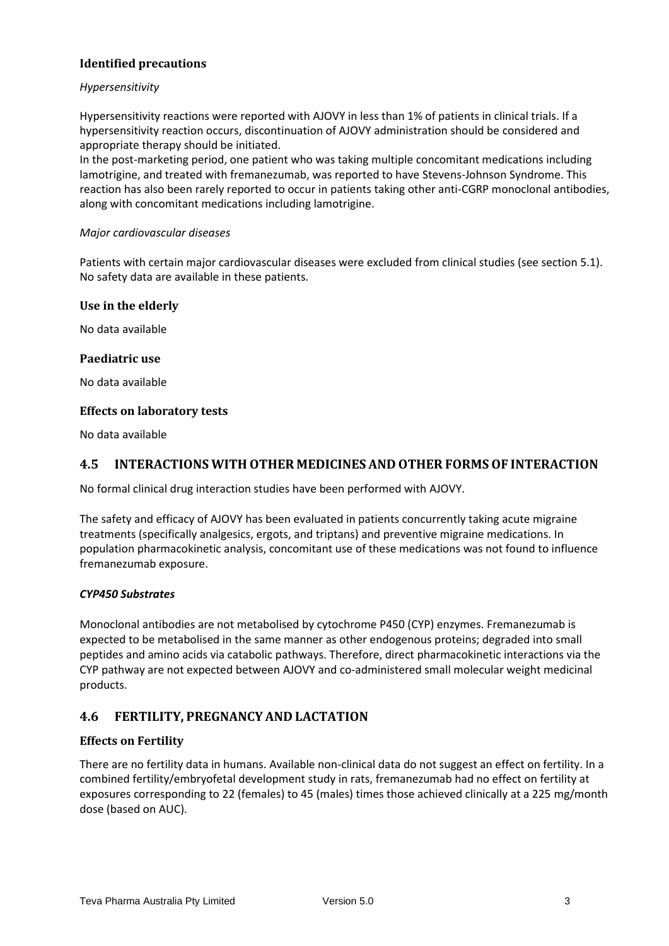## **Identified precautions**

## *Hypersensitivity*

Hypersensitivity reactions were reported with AJOVY in less than 1% of patients in clinical trials. If a hypersensitivity reaction occurs, discontinuation of AJOVY administration should be considered and appropriate therapy should be initiated.

In the post-marketing period, one patient who was taking multiple concomitant medications including lamotrigine, and treated with fremanezumab, was reported to have Stevens-Johnson Syndrome. This reaction has also been rarely reported to occur in patients taking other anti-CGRP monoclonal antibodies, along with concomitant medications including lamotrigine.

### *Major cardiovascular diseases*

Patients with certain major cardiovascular diseases were excluded from clinical studies (see section 5.1). No safety data are available in these patients.

## **Use in the elderly**

No data available

## **Paediatric use**

No data available

### **Effects on laboratory tests**

No data available

## **4.5 INTERACTIONS WITH OTHER MEDICINES AND OTHER FORMSOF INTERACTION**

No formal clinical drug interaction studies have been performed with AJOVY.

The safety and efficacy of AJOVY has been evaluated in patients concurrently taking acute migraine treatments (specifically analgesics, ergots, and triptans) and preventive migraine medications. In population pharmacokinetic analysis, concomitant use of these medications was not found to influence fremanezumab exposure.

### *CYP450 Substrates*

Monoclonal antibodies are not metabolised by cytochrome P450 (CYP) enzymes. Fremanezumab is expected to be metabolised in the same manner as other endogenous proteins; degraded into small peptides and amino acids via catabolic pathways. Therefore, direct pharmacokinetic interactions via the CYP pathway are not expected between AJOVY and co-administered small molecular weight medicinal products.

## **4.6 FERTILITY, PREGNANCY AND LACTATION**

### **Effects on Fertility**

There are no fertility data in humans. Available non-clinical data do not suggest an effect on fertility. In a combined fertility/embryofetal development study in rats, fremanezumab had no effect on fertility at exposures corresponding to 22 (females) to 45 (males) times those achieved clinically at a 225 mg/month dose (based on AUC).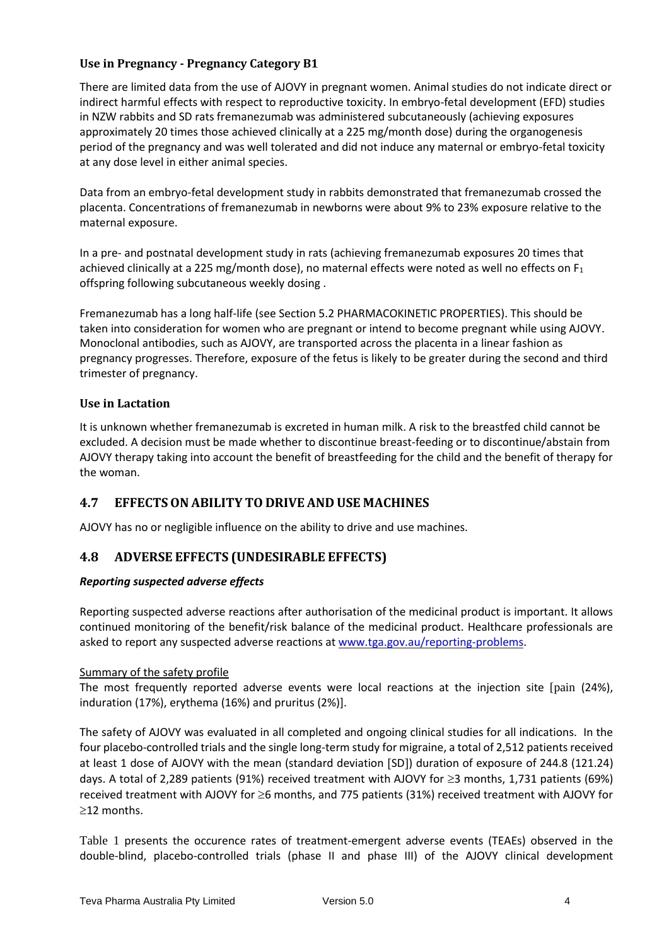## **Use in Pregnancy - Pregnancy Category B1**

There are limited data from the use of AJOVY in pregnant women. Animal studies do not indicate direct or indirect harmful effects with respect to reproductive toxicity. In embryo-fetal development (EFD) studies in NZW rabbits and SD rats fremanezumab was administered subcutaneously (achieving exposures approximately 20 times those achieved clinically at a 225 mg/month dose) during the organogenesis period of the pregnancy and was well tolerated and did not induce any maternal or embryo-fetal toxicity at any dose level in either animal species.

Data from an embryo-fetal development study in rabbits demonstrated that fremanezumab crossed the placenta. Concentrations of fremanezumab in newborns were about 9% to 23% exposure relative to the maternal exposure.

In a pre- and postnatal development study in rats (achieving fremanezumab exposures 20 times that achieved clinically at a 225 mg/month dose), no maternal effects were noted as well no effects on  $F_1$ offspring following subcutaneous weekly dosing .

Fremanezumab has a long half-life (see Section 5.2 PHARMACOKINETIC PROPERTIES). This should be taken into consideration for women who are pregnant or intend to become pregnant while using AJOVY. Monoclonal antibodies, such as AJOVY, are transported across the placenta in a linear fashion as pregnancy progresses. Therefore, exposure of the fetus is likely to be greater during the second and third trimester of pregnancy.

## **Use in Lactation**

It is unknown whether fremanezumab is excreted in human milk. A risk to the breastfed child cannot be excluded. A decision must be made whether to discontinue breast-feeding or to discontinue/abstain from AJOVY therapy taking into account the benefit of breastfeeding for the child and the benefit of therapy for the woman.

# **4.7 EFFECTSON ABILITY TO DRIVE AND USE MACHINES**

AJOVY has no or negligible influence on the ability to drive and use machines.

# **4.8 ADVERSE EFFECTS (UNDESIRABLE EFFECTS)**

## *Reporting suspected adverse effects*

Reporting suspected adverse reactions after authorisation of the medicinal product is important. It allows continued monitoring of the benefit/risk balance of the medicinal product. Healthcare professionals are asked to report any suspected adverse reactions at [www.tga.gov.au/reporting-problems.](http://www.tga.gov.au/reporting-problems)

### Summary of the safety profile

The most frequently reported adverse events were local reactions at the injection site [pain (24%), induration (17%), erythema (16%) and pruritus (2%)].

The safety of AJOVY was evaluated in all completed and ongoing clinical studies for all indications. In the four placebo-controlled trials and the single long-term study for migraine, a total of 2,512 patients received at least 1 dose of AJOVY with the mean (standard deviation [SD]) duration of exposure of 244.8 (121.24) days. A total of 2,289 patients (91%) received treatment with AJOVY for ≥3 months, 1,731 patients (69%) received treatment with AJOVY for  $\geq$ 6 months, and 775 patients (31%) received treatment with AJOVY for  $\geq$ 12 months.

Table 1 presents the occurence rates of treatment-emergent adverse events (TEAEs) observed in the double-blind, placebo-controlled trials (phase II and phase III) of the AJOVY clinical development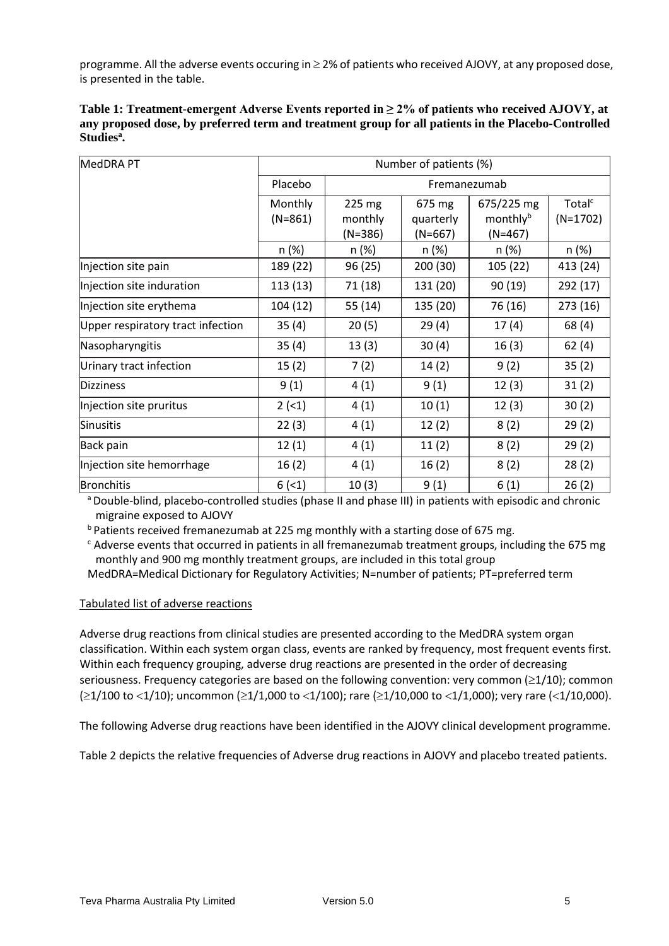programme. All the adverse events occuring in  $\geq$  2% of patients who received AJOVY, at any proposed dose, is presented in the table.

| Table 1: Treatment-emergent Adverse Events reported in $\geq$ 2% of patients who received AJOVY, at |
|-----------------------------------------------------------------------------------------------------|
| any proposed dose, by preferred term and treatment group for all patients in the Placebo-Controlled |
| Studies <sup>a</sup> .                                                                              |

| MedDRA PT                         | Number of patients (%) |              |           |            |                    |
|-----------------------------------|------------------------|--------------|-----------|------------|--------------------|
|                                   | Placebo                | Fremanezumab |           |            |                    |
|                                   | Monthly                | 225 mg       | 675 mg    | 675/225 mg | Total <sup>c</sup> |
|                                   | $(N=861)$              | monthly      | quarterly | monthlyb   | $(N=1702)$         |
|                                   |                        | $(N=386)$    | $(N=667)$ | $(N=467)$  |                    |
|                                   | n(%)                   | n (%)        | n (%)     | n(%)       | n (%)              |
| Injection site pain               | 189 (22)               | 96 (25)      | 200 (30)  | 105 (22)   | 413 (24)           |
| Injection site induration         | 113 (13)               | 71 (18)      | 131 (20)  | 90 (19)    | 292 (17)           |
| Injection site erythema           | 104 (12)               | 55(14)       | 135 (20)  | 76 (16)    | 273 (16)           |
| Upper respiratory tract infection | 35(4)                  | 20(5)        | 29(4)     | 17(4)      | 68 (4)             |
| Nasopharyngitis                   | 35(4)                  | 13(3)        | 30(4)     | 16(3)      | 62(4)              |
| Urinary tract infection           | 15(2)                  | 7(2)         | 14(2)     | 9(2)       | 35(2)              |
| Dizziness                         | 9(1)                   | 4(1)         | 9(1)      | 12(3)      | 31(2)              |
| Injection site pruritus           | 2(51)                  | 4(1)         | 10(1)     | 12(3)      | 30(2)              |
| Sinusitis                         | 22(3)                  | 4(1)         | 12(2)     | 8(2)       | 29(2)              |
| Back pain                         | 12(1)                  | 4(1)         | 11(2)     | 8(2)       | 29(2)              |
| Injection site hemorrhage         | 16(2)                  | 4(1)         | 16(2)     | 8(2)       | 28(2)              |
| Bronchitis                        | 6(1)                   | 10(3)        | 9(1)      | 6(1)       | 26(2)              |

<sup>a</sup> Double-blind, placebo-controlled studies (phase II and phase III) in patients with episodic and chronic migraine exposed to AJOVY

<sup>b</sup> Patients received fremanezumab at 225 mg monthly with a starting dose of 675 mg.

 $c$  Adverse events that occurred in patients in all fremanezumab treatment groups, including the 675 mg monthly and 900 mg monthly treatment groups, are included in this total group

MedDRA=Medical Dictionary for Regulatory Activities; N=number of patients; PT=preferred term

## Tabulated list of adverse reactions

Adverse drug reactions from clinical studies are presented according to the MedDRA system organ classification. Within each system organ class, events are ranked by frequency, most frequent events first. Within each frequency grouping, adverse drug reactions are presented in the order of decreasing seriousness. Frequency categories are based on the following convention: very common  $(\geq 1/10)$ ; common  $(21/100$  to <1/10); uncommon ( $21/1,000$  to <1/100); rare ( $21/10,000$  to <1/1,000); very rare (<1/10,000).

The following Adverse drug reactions have been identified in the AJOVY clinical development programme.

Table 2 depicts the relative frequencies of Adverse drug reactions in AJOVY and placebo treated patients.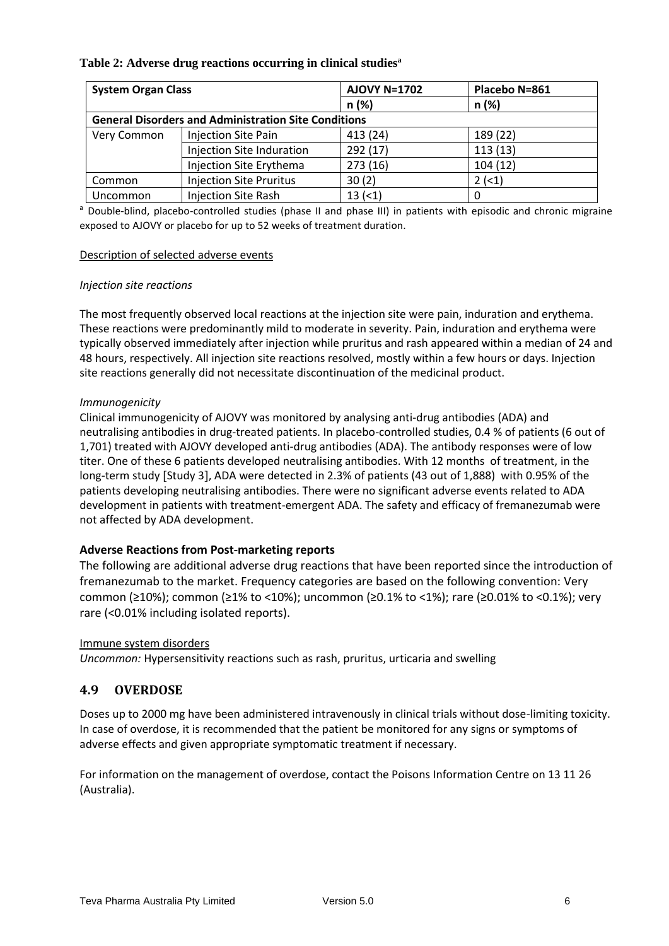## **Table 2: Adverse drug reactions occurring in clinical studies<sup>a</sup>**

| <b>System Organ Class</b> |                                                             | <b>AJOVY N=1702</b> | Placebo N=861 |
|---------------------------|-------------------------------------------------------------|---------------------|---------------|
|                           |                                                             | n(%)                | n(%)          |
|                           | <b>General Disorders and Administration Site Conditions</b> |                     |               |
| Very Common               | Injection Site Pain                                         | 413 (24)            | 189 (22)      |
|                           | Injection Site Induration                                   | 292 (17)            | 113(13)       |
|                           | Injection Site Erythema                                     | 273(16)             | 104(12)       |
| Common                    | <b>Injection Site Pruritus</b>                              | 30(2)               | 2(1)          |
| Uncommon                  | <b>Injection Site Rash</b>                                  | 13(1)               |               |

a Double-blind, placebo-controlled studies (phase II and phase III) in patients with episodic and chronic migraine exposed to AJOVY or placebo for up to 52 weeks of treatment duration.

### Description of selected adverse events

#### *Injection site reactions*

The most frequently observed local reactions at the injection site were pain, induration and erythema. These reactions were predominantly mild to moderate in severity. Pain, induration and erythema were typically observed immediately after injection while pruritus and rash appeared within a median of 24 and 48 hours, respectively. All injection site reactions resolved, mostly within a few hours or days. Injection site reactions generally did not necessitate discontinuation of the medicinal product.

### *Immunogenicity*

Clinical immunogenicity of AJOVY was monitored by analysing anti-drug antibodies (ADA) and neutralising antibodies in drug-treated patients. In placebo-controlled studies, 0.4 % of patients (6 out of 1,701) treated with AJOVY developed anti-drug antibodies (ADA). The antibody responses were of low titer. One of these 6 patients developed neutralising antibodies. With 12 months of treatment, in the long-term study [Study 3], ADA were detected in 2.3% of patients (43 out of 1,888) with 0.95% of the patients developing neutralising antibodies. There were no significant adverse events related to ADA development in patients with treatment-emergent ADA. The safety and efficacy of fremanezumab were not affected by ADA development.

### **Adverse Reactions from Post-marketing reports**

The following are additional adverse drug reactions that have been reported since the introduction of fremanezumab to the market. Frequency categories are based on the following convention: Very common (≥10%); common (≥1% to <10%); uncommon (≥0.1% to <1%); rare (≥0.01% to <0.1%); very rare (<0.01% including isolated reports).

### Immune system disorders

*Uncommon:* Hypersensitivity reactions such as rash, pruritus, urticaria and swelling

## **4.9 OVERDOSE**

Doses up to 2000 mg have been administered intravenously in clinical trials without dose-limiting toxicity. In case of overdose, it is recommended that the patient be monitored for any signs or symptoms of adverse effects and given appropriate symptomatic treatment if necessary.

For information on the management of overdose, contact the Poisons Information Centre on 13 11 26 (Australia).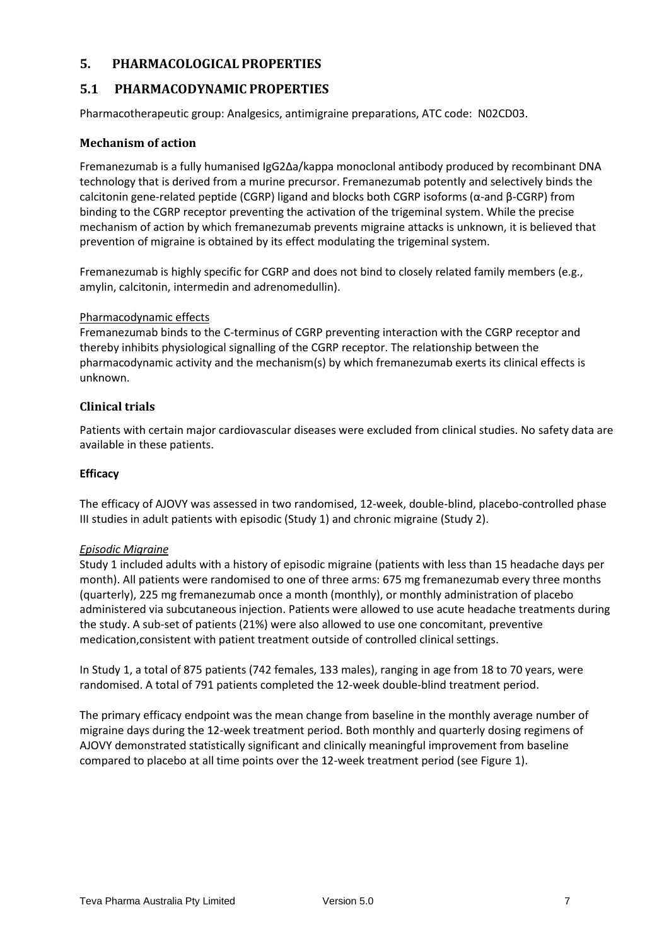## **5. PHARMACOLOGICAL PROPERTIES**

# **5.1 PHARMACODYNAMIC PROPERTIES**

Pharmacotherapeutic group: Analgesics, antimigraine preparations, ATC code: N02CD03.

## **Mechanism of action**

Fremanezumab is a fully humanised IgG2Δa/kappa monoclonal antibody produced by recombinant DNA technology that is derived from a murine precursor. Fremanezumab potently and selectively binds the calcitonin gene-related peptide (CGRP) ligand and blocks both CGRP isoforms (α-and β-CGRP) from binding to the CGRP receptor preventing the activation of the trigeminal system. While the precise mechanism of action by which fremanezumab prevents migraine attacks is unknown, it is believed that prevention of migraine is obtained by its effect modulating the trigeminal system.

Fremanezumab is highly specific for CGRP and does not bind to closely related family members (e.g., amylin, calcitonin, intermedin and adrenomedullin).

### Pharmacodynamic effects

Fremanezumab binds to the C-terminus of CGRP preventing interaction with the CGRP receptor and thereby inhibits physiological signalling of the CGRP receptor. The relationship between the pharmacodynamic activity and the mechanism(s) by which fremanezumab exerts its clinical effects is unknown.

## **Clinical trials**

Patients with certain major cardiovascular diseases were excluded from clinical studies. No safety data are available in these patients.

### **Efficacy**

The efficacy of AJOVY was assessed in two randomised, 12-week, double-blind, placebo-controlled phase III studies in adult patients with episodic (Study 1) and chronic migraine (Study 2).

### *Episodic Migraine*

Study 1 included adults with a history of episodic migraine (patients with less than 15 headache days per month). All patients were randomised to one of three arms: 675 mg fremanezumab every three months (quarterly), 225 mg fremanezumab once a month (monthly), or monthly administration of placebo administered via subcutaneous injection. Patients were allowed to use acute headache treatments during the study. A sub-set of patients (21%) were also allowed to use one concomitant, preventive medication,consistent with patient treatment outside of controlled clinical settings.

In Study 1, a total of 875 patients (742 females, 133 males), ranging in age from 18 to 70 years, were randomised. A total of 791 patients completed the 12-week double-blind treatment period.

The primary efficacy endpoint was the mean change from baseline in the monthly average number of migraine days during the 12-week treatment period. Both monthly and quarterly dosing regimens of AJOVY demonstrated statistically significant and clinically meaningful improvement from baseline compared to placebo at all time points over the 12-week treatment period (see Figure 1).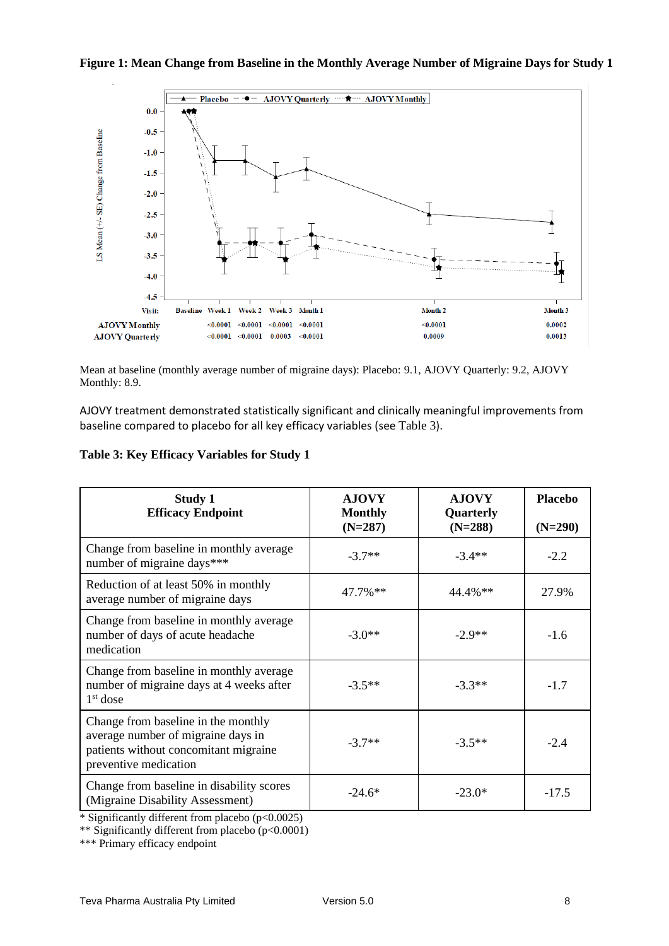## **Figure 1: Mean Change from Baseline in the Monthly Average Number of Migraine Days for Study 1**



Mean at baseline (monthly average number of migraine days): Placebo: 9.1, AJOVY Quarterly: 9.2, AJOVY Monthly: 8.9.

AJOVY treatment demonstrated statistically significant and clinically meaningful improvements from baseline compared to placebo for all key efficacy variables (see Table 3).

| Table 3: Key Efficacy Variables for Study 1 |  |  |  |  |  |  |  |  |
|---------------------------------------------|--|--|--|--|--|--|--|--|
|---------------------------------------------|--|--|--|--|--|--|--|--|

| <b>Study 1</b><br><b>Efficacy Endpoint</b>                                                                                                  | <b>AJOVY</b><br><b>Monthly</b><br>$(N=287)$ | <b>AJOVY</b><br>Quarterly<br>$(N=288)$ | <b>Placebo</b><br>$(N=290)$ |
|---------------------------------------------------------------------------------------------------------------------------------------------|---------------------------------------------|----------------------------------------|-----------------------------|
| Change from baseline in monthly average<br>number of migraine days***                                                                       | $-3.7**$                                    | $-3.4**$                               | $-2.2$                      |
| Reduction of at least 50% in monthly<br>average number of migraine days                                                                     | $47.7\%$ **                                 | $44.4\%$ **                            | 27.9%                       |
| Change from baseline in monthly average<br>number of days of acute headache<br>medication                                                   | $-3.0**$                                    | $-2.9**$                               | $-1.6$                      |
| Change from baseline in monthly average<br>number of migraine days at 4 weeks after<br>$1st$ dose                                           | $-3.5**$                                    | $-3.3**$                               | $-1.7$                      |
| Change from baseline in the monthly<br>average number of migraine days in<br>patients without concomitant migraine<br>preventive medication | $-3.7**$                                    | $-3.5**$                               | $-2.4$                      |
| Change from baseline in disability scores<br>(Migraine Disability Assessment)                                                               | $-24.6*$                                    | $-23.0*$                               | $-17.5$                     |

\* Significantly different from placebo (p<0.0025)

\*\* Significantly different from placebo (p<0.0001)

\*\*\* Primary efficacy endpoint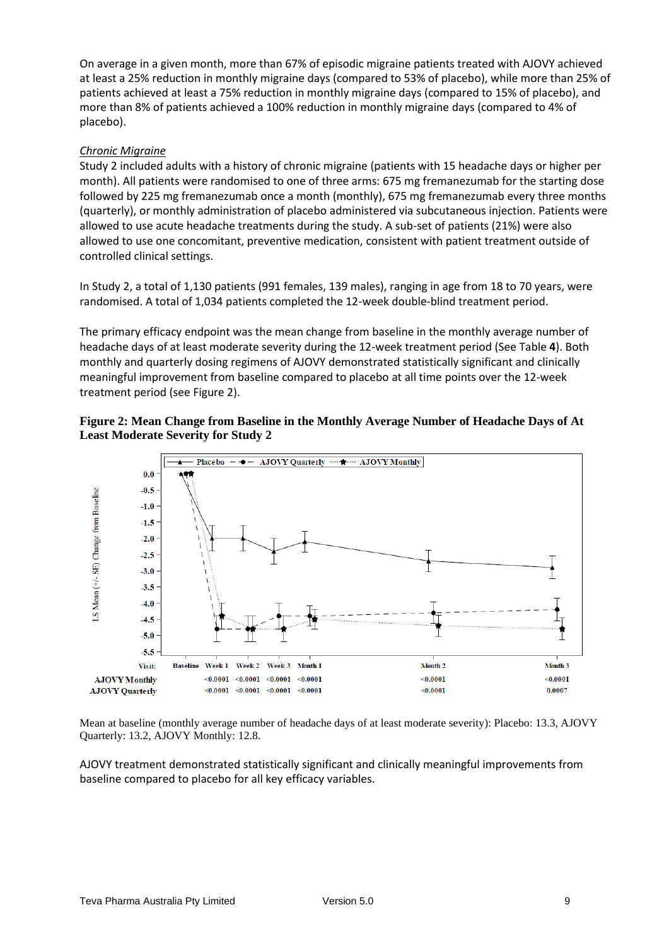On average in a given month, more than 67% of episodic migraine patients treated with AJOVY achieved at least a 25% reduction in monthly migraine days (compared to 53% of placebo), while more than 25% of patients achieved at least a 75% reduction in monthly migraine days (compared to 15% of placebo), and more than 8% of patients achieved a 100% reduction in monthly migraine days (compared to 4% of placebo).

## *Chronic Migraine*

Study 2 included adults with a history of chronic migraine (patients with 15 headache days or higher per month). All patients were randomised to one of three arms: 675 mg fremanezumab for the starting dose followed by 225 mg fremanezumab once a month (monthly), 675 mg fremanezumab every three months (quarterly), or monthly administration of placebo administered via subcutaneous injection. Patients were allowed to use acute headache treatments during the study. A sub-set of patients (21%) were also allowed to use one concomitant, preventive medication, consistent with patient treatment outside of controlled clinical settings.

In Study 2, a total of 1,130 patients (991 females, 139 males), ranging in age from 18 to 70 years, were randomised. A total of 1,034 patients completed the 12-week double-blind treatment period.

The primary efficacy endpoint was the mean change from baseline in the monthly average number of headache days of at least moderate severity during the 12-week treatment period (See Table **4**). Both monthly and quarterly dosing regimens of AJOVY demonstrated statistically significant and clinically meaningful improvement from baseline compared to placebo at all time points over the 12-week treatment period (see Figure 2).





Mean at baseline (monthly average number of headache days of at least moderate severity): Placebo: 13.3, AJOVY Quarterly: 13.2, AJOVY Monthly: 12.8.

AJOVY treatment demonstrated statistically significant and clinically meaningful improvements from baseline compared to placebo for all key efficacy variables.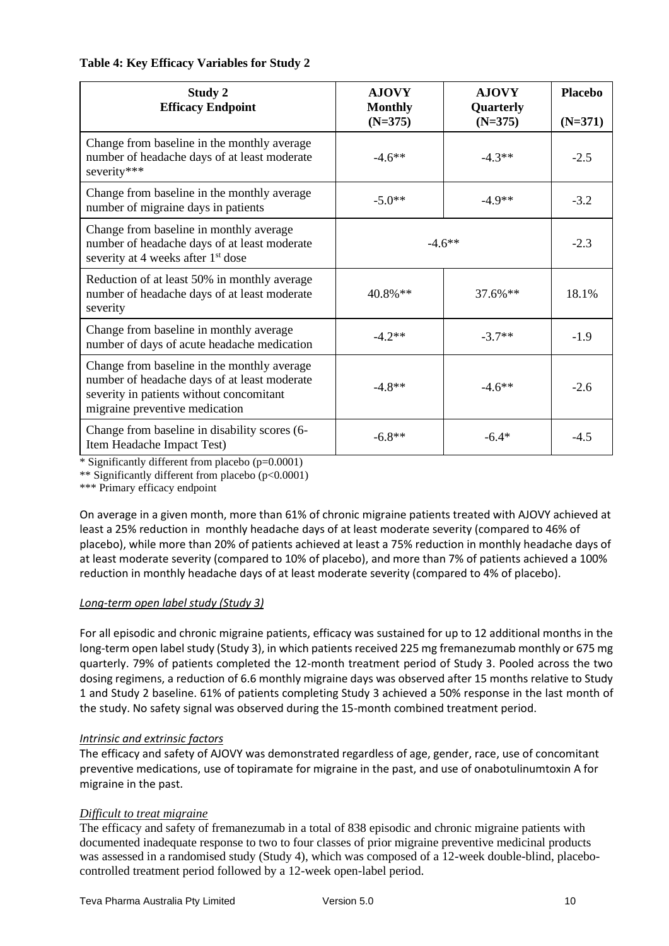| Table 4: Key Efficacy Variables for Study 2 |  |  |  |  |  |
|---------------------------------------------|--|--|--|--|--|
|---------------------------------------------|--|--|--|--|--|

| <b>Study 2</b><br><b>Efficacy Endpoint</b>                                                                                                                                | <b>AJOVY</b><br><b>Monthly</b> | <b>AJOVY</b><br>Quarterly | <b>Placebo</b> |
|---------------------------------------------------------------------------------------------------------------------------------------------------------------------------|--------------------------------|---------------------------|----------------|
|                                                                                                                                                                           | $(N=375)$                      | $(N=375)$                 | $(N=371)$      |
| Change from baseline in the monthly average<br>number of headache days of at least moderate<br>severity***                                                                | $-4.6**$                       | $-4.3**$                  | $-2.5$         |
| Change from baseline in the monthly average<br>number of migraine days in patients                                                                                        | $-4.9**$<br>$-5.0**$           |                           | $-3.2$         |
| Change from baseline in monthly average<br>number of headache days of at least moderate<br>severity at 4 weeks after 1 <sup>st</sup> dose                                 | $-4.6**$                       |                           | $-2.3$         |
| Reduction of at least 50% in monthly average<br>number of headache days of at least moderate<br>severity                                                                  | $40.8\%$ **                    | $37.6\%$ **               | 18.1%          |
| Change from baseline in monthly average<br>number of days of acute headache medication                                                                                    | $-4.2**$                       | $-3.7**$                  | $-1.9$         |
| Change from baseline in the monthly average<br>number of headache days of at least moderate<br>severity in patients without concomitant<br>migraine preventive medication | $-4.8**$                       | $-4.6**$                  | $-2.6$         |
| Change from baseline in disability scores (6-<br>Item Headache Impact Test)                                                                                               | $-6.8**$                       | $-6.4*$                   | $-4.5$         |

 $*$  Significantly different from placebo ( $p=0.0001$ )

\*\* Significantly different from placebo (p<0.0001)

\*\*\* Primary efficacy endpoint

On average in a given month, more than 61% of chronic migraine patients treated with AJOVY achieved at least a 25% reduction in monthly headache days of at least moderate severity (compared to 46% of placebo), while more than 20% of patients achieved at least a 75% reduction in monthly headache days of at least moderate severity (compared to 10% of placebo), and more than 7% of patients achieved a 100% reduction in monthly headache days of at least moderate severity (compared to 4% of placebo).

### *Long-term open label study (Study 3)*

For all episodic and chronic migraine patients, efficacy was sustained for up to 12 additional months in the long-term open label study (Study 3), in which patients received 225 mg fremanezumab monthly or 675 mg quarterly. 79% of patients completed the 12-month treatment period of Study 3. Pooled across the two dosing regimens, a reduction of 6.6 monthly migraine days was observed after 15 months relative to Study 1 and Study 2 baseline. 61% of patients completing Study 3 achieved a 50% response in the last month of the study. No safety signal was observed during the 15-month combined treatment period.

### *Intrinsic and extrinsic factors*

The efficacy and safety of AJOVY was demonstrated regardless of age, gender, race, use of concomitant preventive medications, use of topiramate for migraine in the past, and use of onabotulinumtoxin A for migraine in the past.

### *Difficult to treat migraine*

The efficacy and safety of fremanezumab in a total of 838 episodic and chronic migraine patients with documented inadequate response to two to four classes of prior migraine preventive medicinal products was assessed in a randomised study (Study 4), which was composed of a 12-week double-blind, placebocontrolled treatment period followed by a 12-week open-label period.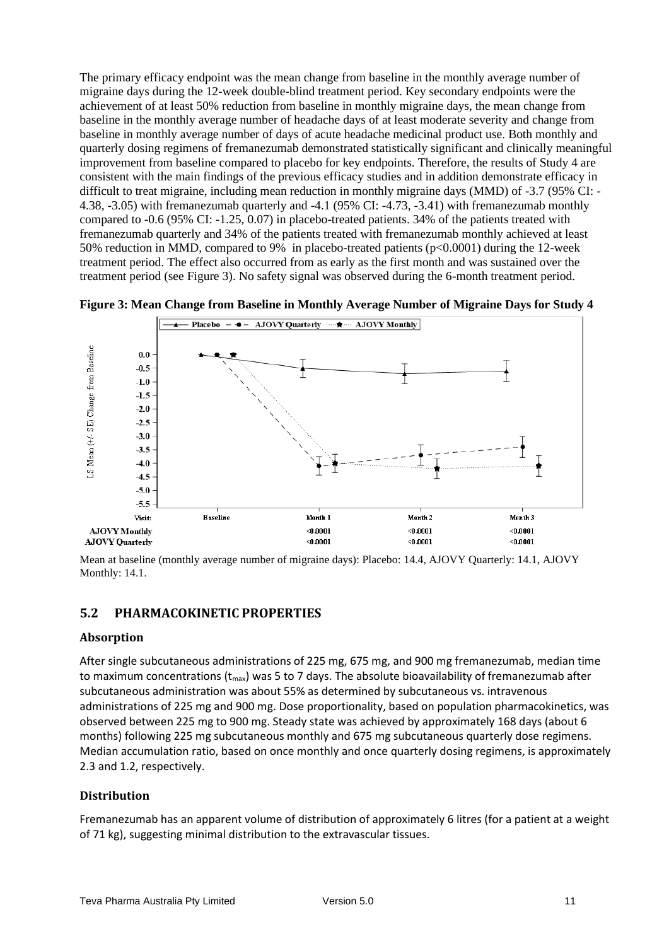The primary efficacy endpoint was the mean change from baseline in the monthly average number of migraine days during the 12-week double-blind treatment period. Key secondary endpoints were the achievement of at least 50% reduction from baseline in monthly migraine days, the mean change from baseline in the monthly average number of headache days of at least moderate severity and change from baseline in monthly average number of days of acute headache medicinal product use. Both monthly and quarterly dosing regimens of fremanezumab demonstrated statistically significant and clinically meaningful improvement from baseline compared to placebo for key endpoints. Therefore, the results of Study 4 are consistent with the main findings of the previous efficacy studies and in addition demonstrate efficacy in difficult to treat migraine, including mean reduction in monthly migraine days (MMD) of -3.7 (95% CI: - 4.38, -3.05) with fremanezumab quarterly and -4.1 (95% CI: -4.73, -3.41) with fremanezumab monthly compared to -0.6 (95% CI: -1.25, 0.07) in placebo-treated patients. 34% of the patients treated with fremanezumab quarterly and 34% of the patients treated with fremanezumab monthly achieved at least 50% reduction in MMD, compared to 9% in placebo-treated patients (p<0.0001) during the 12-week treatment period. The effect also occurred from as early as the first month and was sustained over the treatment period (see Figure 3). No safety signal was observed during the 6-month treatment period.



**Figure 3: Mean Change from Baseline in Monthly Average Number of Migraine Days for Study 4**

Mean at baseline (monthly average number of migraine days): Placebo: 14.4, AJOVY Quarterly: 14.1, AJOVY Monthly: 14.1.

### **5.2 PHARMACOKINETIC PROPERTIES**

### **Absorption**

After single subcutaneous administrations of 225 mg, 675 mg, and 900 mg fremanezumab, median time to maximum concentrations ( $t_{max}$ ) was 5 to 7 days. The absolute bioavailability of fremanezumab after subcutaneous administration was about 55% as determined by subcutaneous vs. intravenous administrations of 225 mg and 900 mg. Dose proportionality, based on population pharmacokinetics, was observed between 225 mg to 900 mg. Steady state was achieved by approximately 168 days (about 6 months) following 225 mg subcutaneous monthly and 675 mg subcutaneous quarterly dose regimens. Median accumulation ratio, based on once monthly and once quarterly dosing regimens, is approximately 2.3 and 1.2, respectively.

## **Distribution**

Fremanezumab has an apparent volume of distribution of approximately 6 litres (for a patient at a weight of 71 kg), suggesting minimal distribution to the extravascular tissues.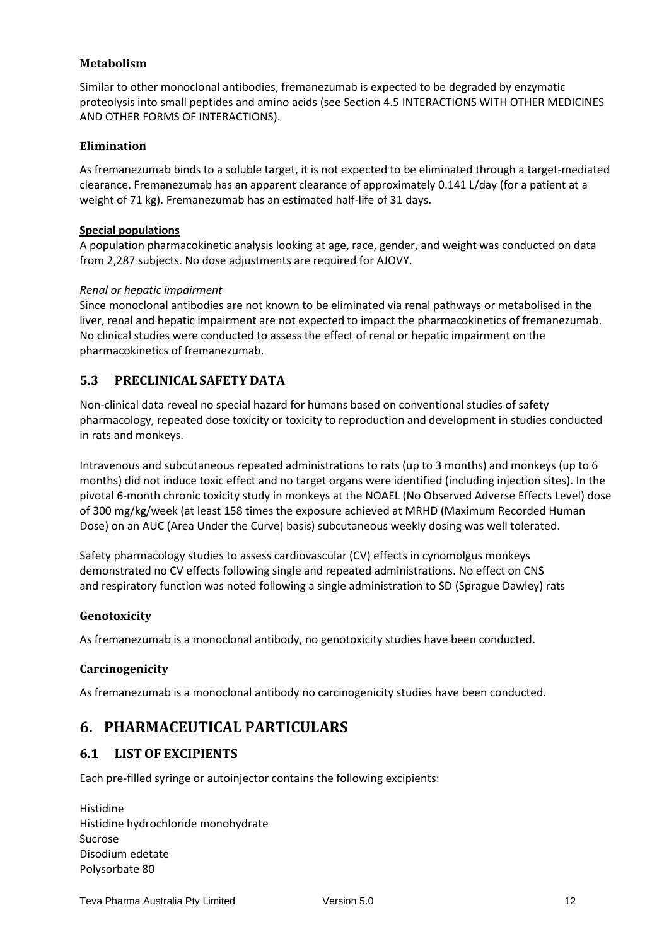## **Metabolism**

Similar to other monoclonal antibodies, fremanezumab is expected to be degraded by enzymatic proteolysis into small peptides and amino acids (see Section 4.5 INTERACTIONS WITH OTHER MEDICINES AND OTHER FORMS OF INTERACTIONS).

## **Elimination**

As fremanezumab binds to a soluble target, it is not expected to be eliminated through a target-mediated clearance. Fremanezumab has an apparent clearance of approximately 0.141 L/day (for a patient at a weight of 71 kg). Fremanezumab has an estimated half-life of 31 days.

## **Special populations**

A population pharmacokinetic analysis looking at age, race, gender, and weight was conducted on data from 2,287 subjects. No dose adjustments are required for AJOVY.

### *Renal or hepatic impairment*

Since monoclonal antibodies are not known to be eliminated via renal pathways or metabolised in the liver, renal and hepatic impairment are not expected to impact the pharmacokinetics of fremanezumab. No clinical studies were conducted to assess the effect of renal or hepatic impairment on the pharmacokinetics of fremanezumab.

# **5.3 PRECLINICAL SAFETY DATA**

Non-clinical data reveal no special hazard for humans based on conventional studies of safety pharmacology, repeated dose toxicity or toxicity to reproduction and development in studies conducted in rats and monkeys.

Intravenous and subcutaneous repeated administrations to rats (up to 3 months) and monkeys (up to 6 months) did not induce toxic effect and no target organs were identified (including injection sites). In the pivotal 6-month chronic toxicity study in monkeys at the NOAEL (No Observed Adverse Effects Level) dose of 300 mg/kg/week (at least 158 times the exposure achieved at MRHD (Maximum Recorded Human Dose) on an AUC (Area Under the Curve) basis) subcutaneous weekly dosing was well tolerated.

Safety pharmacology studies to assess cardiovascular (CV) effects in cynomolgus monkeys demonstrated no CV effects following single and repeated administrations. No effect on CNS and respiratory function was noted following a single administration to SD (Sprague Dawley) rats

### **Genotoxicity**

As fremanezumab is a monoclonal antibody, no genotoxicity studies have been conducted.

## **Carcinogenicity**

As fremanezumab is a monoclonal antibody no carcinogenicity studies have been conducted.

# **6. PHARMACEUTICAL PARTICULARS**

## **6.1 LISTOF EXCIPIENTS**

Each pre-filled syringe or autoinjector contains the following excipients:

Histidine Histidine hydrochloride monohydrate Sucrose Disodium edetate Polysorbate 80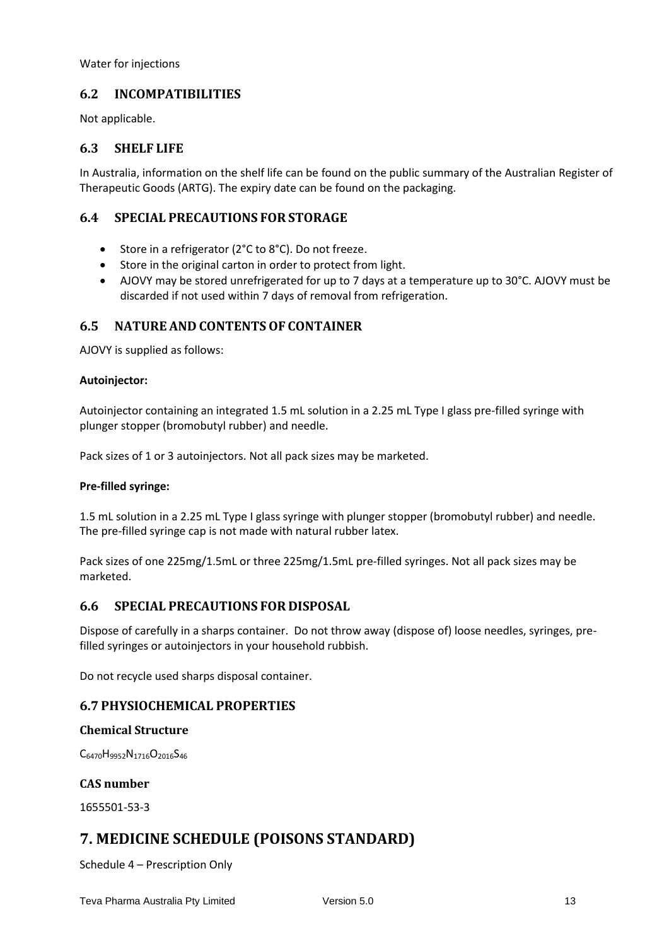Water for injections

## **6.2 INCOMPATIBILITIES**

Not applicable.

## **6.3 SHELF LIFE**

In Australia, information on the shelf life can be found on the public summary of the Australian Register of Therapeutic Goods (ARTG). The expiry date can be found on the packaging.

## **6.4 SPECIAL PRECAUTIONS FOR STORAGE**

- Store in a refrigerator (2°C to 8°C). Do not freeze.
- Store in the original carton in order to protect from light.
- AJOVY may be stored unrefrigerated for up to 7 days at a temperature up to 30°C. AJOVY must be discarded if not used within 7 days of removal from refrigeration.

## **6.5 NATURE AND CONTENTSOF CONTAINER**

AJOVY is supplied as follows:

### **Autoinjector:**

Autoinjector containing an integrated 1.5 mL solution in a 2.25 mL Type I glass pre-filled syringe with plunger stopper (bromobutyl rubber) and needle.

Pack sizes of 1 or 3 autoinjectors. Not all pack sizes may be marketed.

### **Pre-filled syringe:**

1.5 mL solution in a 2.25 mL Type I glass syringe with plunger stopper (bromobutyl rubber) and needle. The pre-filled syringe cap is not made with natural rubber latex.

Pack sizes of one 225mg/1.5mL or three 225mg/1.5mL pre-filled syringes. Not all pack sizes may be marketed.

## **6.6 SPECIAL PRECAUTIONS FOR DISPOSAL**

Dispose of carefully in a sharps container. Do not throw away (dispose of) loose needles, syringes, prefilled syringes or autoinjectors in your household rubbish.

Do not recycle used sharps disposal container.

## **6.7 PHYSIOCHEMICAL PROPERTIES**

### **Chemical Structure**

C6470H9952N1716O2016S<sup>46</sup>

**CAS number**

1655501-53-3

# **7. MEDICINE SCHEDULE (POISONS STANDARD)**

Schedule 4 – Prescription Only